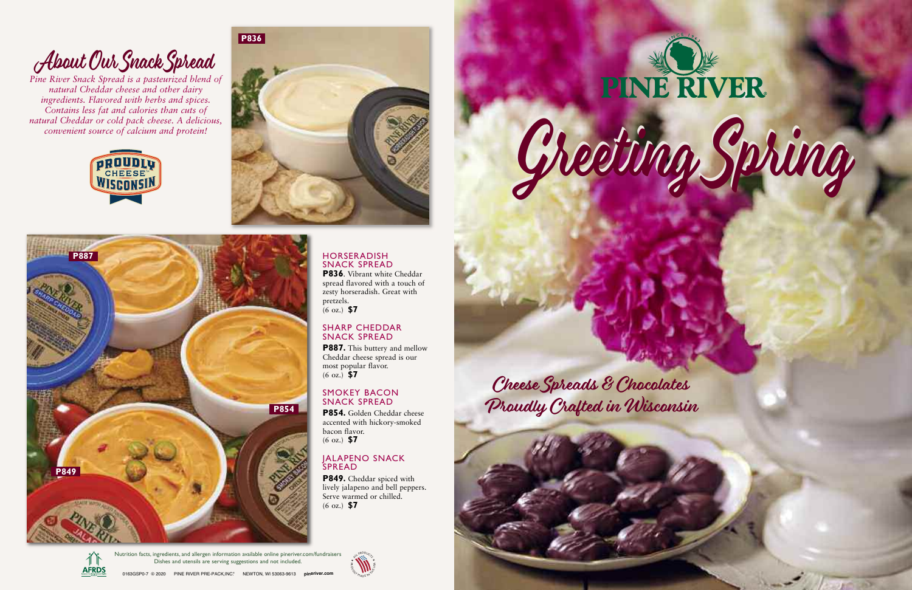



Greeting Spring



Nutrition facts, ingredients, and allergen information available online pineriver.com/fundraisers Dishes and utensils are serving suggestions and not included.

## SHARP CHEDDAR SNACK SPREAD

**P887.** This buttery and mellow Cheddar cheese spread is our most popular flavor. (6 oz.) **\$7**

# SMOKEY BACON SNACK SPREAD

**P854.** Golden Cheddar cheese accented with hickory-smoked bacon flavor. (6 oz.) **\$7**

# JALAPENO SNACK SPREAD

**P849.** Cheddar spiced with lively jalapeno and bell peppers. Serve warmed or chilled. (6 oz.) **\$7**



*Pine River Snack Spread is a pasteurized blend of natural Cheddar cheese and other dairy ingredients. Flavored with herbs and spices. Contains less fat and calories than cuts of natural Cheddar or cold pack cheese. A delicious, convenient source of calcium and protein!*



# About Our Snack Spread



Cheese Spreads & Chocolates Proudly Crafted in Wisconsin



#### HORSERADISH SNACK SPREAD

**P836**. Vibrant white Cheddar spread flavored with a touch of zesty horseradish. Great with pretzels. (6 oz.) **\$7**

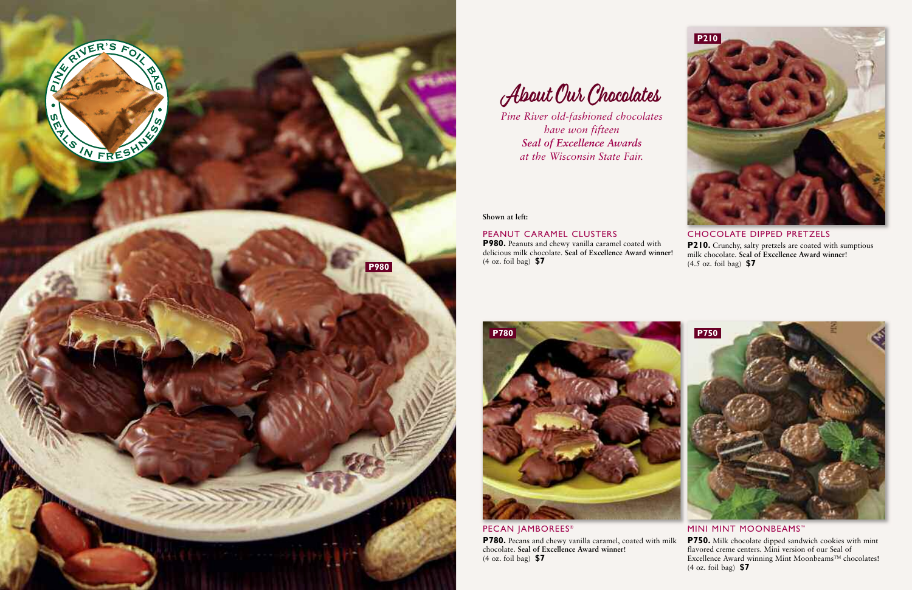*Pine River old-fashioned chocolates have won fifteen Seal of Excellence Awards at the Wisconsin State Fair.*

**Shown at left:**

PEANUT CARAMEL CLUSTERS **P980.** Peanuts and chewy vanilla caramel coated with delicious milk chocolate. **Seal of Excellence Award winner**!



About Our Chocolates

**P210.** Crunchy, salty pretzels are coated with sumptious milk chocolate. **Seal of Excellence Award winner**! (4.5 oz. foil bag) **\$7**

### MINI MINT MOONBEAMS™

**P750.** Milk chocolate dipped sandwich cookies with mint flavored creme centers. Mini version of our Seal of Excellence Award winning Mint Moonbeams™ chocolates! (4 oz. foil bag) **\$7** PECAN JAMBOREES<sup>®</sup> **P780.** Pecans and chewy vanilla caramel, coated with milk chocolate. **Seal of Excellence Award winner**! (4 oz. foil bag) **\$7**



## CHOCOLATE DIPPED PRETZELS

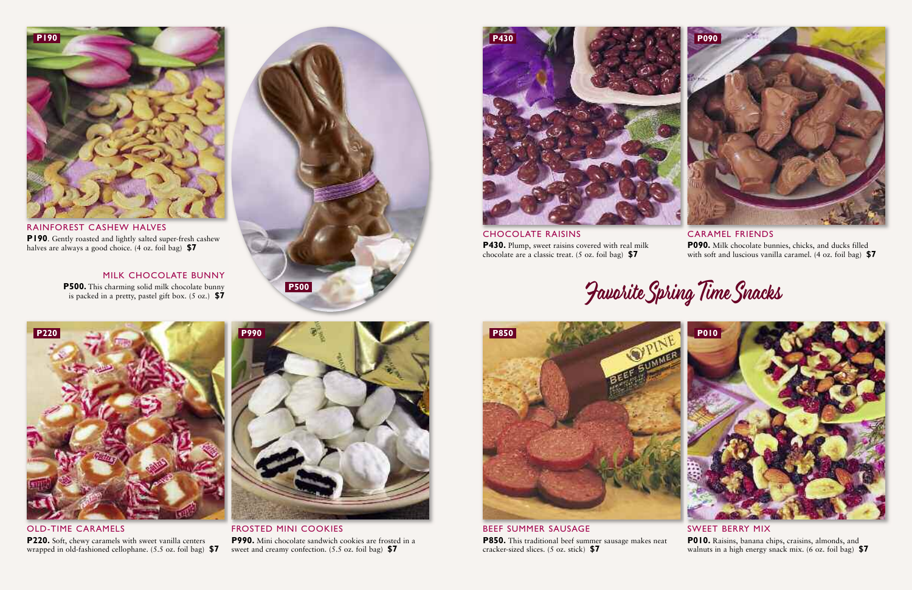

BEEF SUMMER SAUSAGE **P850.** This traditional beef summer sausage makes neat cracker-sized slices. (5 oz. stick) **\$7**

SWEET BERRY MIX

**P010.** Raisins, banana chips, craisins, almonds, and walnuts in a high energy snack mix. (6 oz. foil bag) **\$7**

OLD-TIME CARAMELS **P220.** Soft, chewy caramels with sweet vanilla centers wrapped in old-fashioned cellophane. (5.5 oz. foil bag) **\$7**



FROSTED MINI COOKIES **P990.** Mini chocolate sandwich cookies are frosted in a sweet and creamy confection. (5.5 oz. foil bag) **\$7**



MILK CHOCOLATE BUNNY **P500.** This charming solid milk chocolate bunny is packed in a pretty, pastel gift box. (5 oz.) **\$7**

RAINFOREST CASHEW HALVES **P190**. Gently roasted and lightly salted super-fresh cashew halves are always a good choice. (4 oz. foil bag) **\$7**



CARAMEL FRIENDS **P090.** Milk chocolate bunnies, chicks, and ducks filled with soft and luscious vanilla caramel. (4 oz. foil bag) **\$7**





CHOCOLATE RAISINS **P430.** Plump, sweet raisins covered with real milk chocolate are a classic treat. (5 oz. foil bag) **\$7**